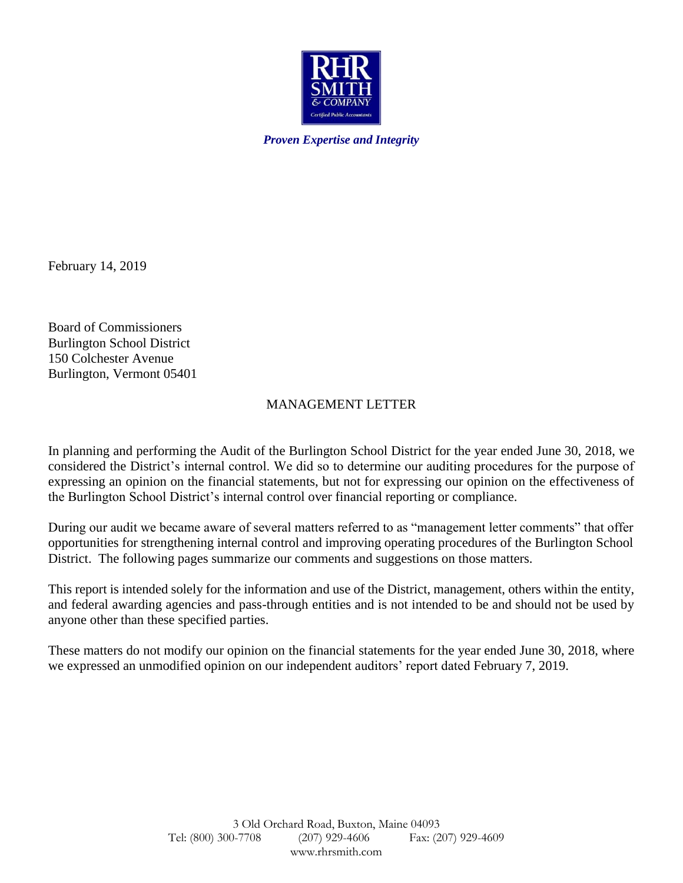

*Proven Expertise and Integrity*

February 14, 2019

Board of Commissioners Burlington School District 150 Colchester Avenue Burlington, Vermont 05401

# MANAGEMENT LETTER

In planning and performing the Audit of the Burlington School District for the year ended June 30, 2018, we considered the District's internal control. We did so to determine our auditing procedures for the purpose of expressing an opinion on the financial statements, but not for expressing our opinion on the effectiveness of the Burlington School District's internal control over financial reporting or compliance.

During our audit we became aware of several matters referred to as "management letter comments" that offer opportunities for strengthening internal control and improving operating procedures of the Burlington School District. The following pages summarize our comments and suggestions on those matters.

This report is intended solely for the information and use of the District, management, others within the entity, and federal awarding agencies and pass-through entities and is not intended to be and should not be used by anyone other than these specified parties.

These matters do not modify our opinion on the financial statements for the year ended June 30, 2018, where we expressed an unmodified opinion on our independent auditors' report dated February 7, 2019.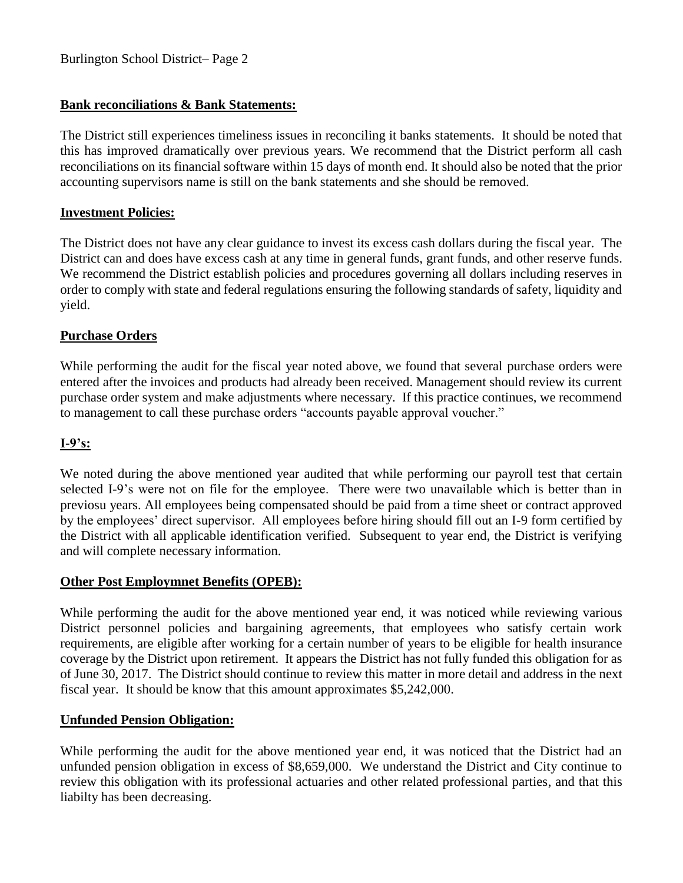# **Bank reconciliations & Bank Statements:**

The District still experiences timeliness issues in reconciling it banks statements. It should be noted that this has improved dramatically over previous years. We recommend that the District perform all cash reconciliations on its financial software within 15 days of month end. It should also be noted that the prior accounting supervisors name is still on the bank statements and she should be removed.

### **Investment Policies:**

The District does not have any clear guidance to invest its excess cash dollars during the fiscal year. The District can and does have excess cash at any time in general funds, grant funds, and other reserve funds. We recommend the District establish policies and procedures governing all dollars including reserves in order to comply with state and federal regulations ensuring the following standards of safety, liquidity and yield.

## **Purchase Orders**

While performing the audit for the fiscal year noted above, we found that several purchase orders were entered after the invoices and products had already been received. Management should review its current purchase order system and make adjustments where necessary. If this practice continues, we recommend to management to call these purchase orders "accounts payable approval voucher."

## **I-9's:**

We noted during the above mentioned year audited that while performing our payroll test that certain selected I-9's were not on file for the employee. There were two unavailable which is better than in previosu years. All employees being compensated should be paid from a time sheet or contract approved by the employees' direct supervisor. All employees before hiring should fill out an I-9 form certified by the District with all applicable identification verified. Subsequent to year end, the District is verifying and will complete necessary information.

#### **Other Post Employmnet Benefits (OPEB):**

While performing the audit for the above mentioned year end, it was noticed while reviewing various District personnel policies and bargaining agreements, that employees who satisfy certain work requirements, are eligible after working for a certain number of years to be eligible for health insurance coverage by the District upon retirement. It appears the District has not fully funded this obligation for as of June 30, 2017. The District should continue to review this matter in more detail and address in the next fiscal year. It should be know that this amount approximates \$5,242,000.

#### **Unfunded Pension Obligation:**

While performing the audit for the above mentioned year end, it was noticed that the District had an unfunded pension obligation in excess of \$8,659,000. We understand the District and City continue to review this obligation with its professional actuaries and other related professional parties, and that this liabilty has been decreasing.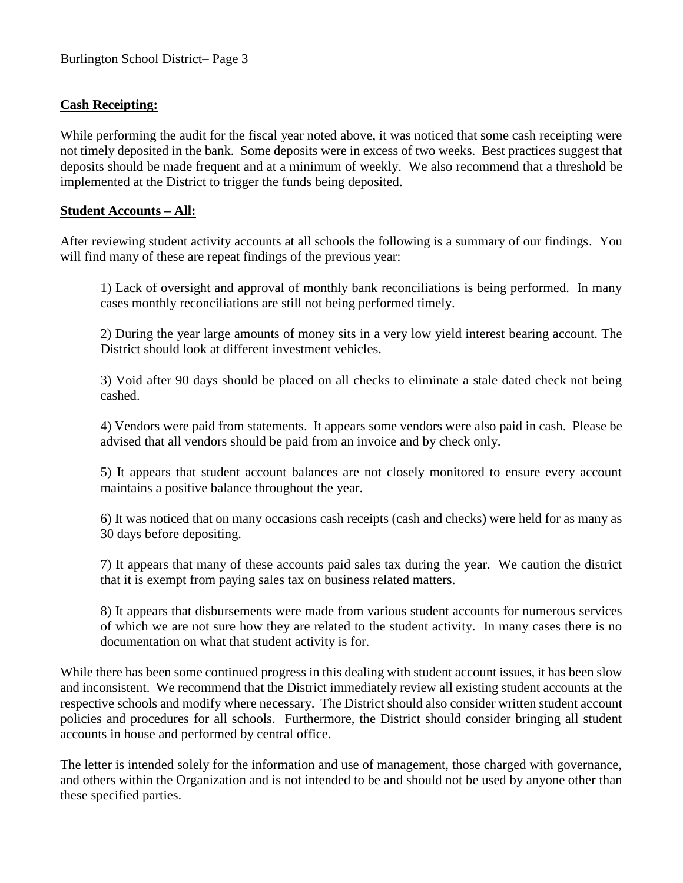### **Cash Receipting:**

While performing the audit for the fiscal year noted above, it was noticed that some cash receipting were not timely deposited in the bank. Some deposits were in excess of two weeks. Best practices suggest that deposits should be made frequent and at a minimum of weekly. We also recommend that a threshold be implemented at the District to trigger the funds being deposited.

#### **Student Accounts – All:**

After reviewing student activity accounts at all schools the following is a summary of our findings. You will find many of these are repeat findings of the previous year:

1) Lack of oversight and approval of monthly bank reconciliations is being performed. In many cases monthly reconciliations are still not being performed timely.

2) During the year large amounts of money sits in a very low yield interest bearing account. The District should look at different investment vehicles.

3) Void after 90 days should be placed on all checks to eliminate a stale dated check not being cashed.

4) Vendors were paid from statements. It appears some vendors were also paid in cash. Please be advised that all vendors should be paid from an invoice and by check only.

5) It appears that student account balances are not closely monitored to ensure every account maintains a positive balance throughout the year.

6) It was noticed that on many occasions cash receipts (cash and checks) were held for as many as 30 days before depositing.

7) It appears that many of these accounts paid sales tax during the year. We caution the district that it is exempt from paying sales tax on business related matters.

8) It appears that disbursements were made from various student accounts for numerous services of which we are not sure how they are related to the student activity. In many cases there is no documentation on what that student activity is for.

While there has been some continued progress in this dealing with student account issues, it has been slow and inconsistent. We recommend that the District immediately review all existing student accounts at the respective schools and modify where necessary. The District should also consider written student account policies and procedures for all schools. Furthermore, the District should consider bringing all student accounts in house and performed by central office.

The letter is intended solely for the information and use of management, those charged with governance, and others within the Organization and is not intended to be and should not be used by anyone other than these specified parties.